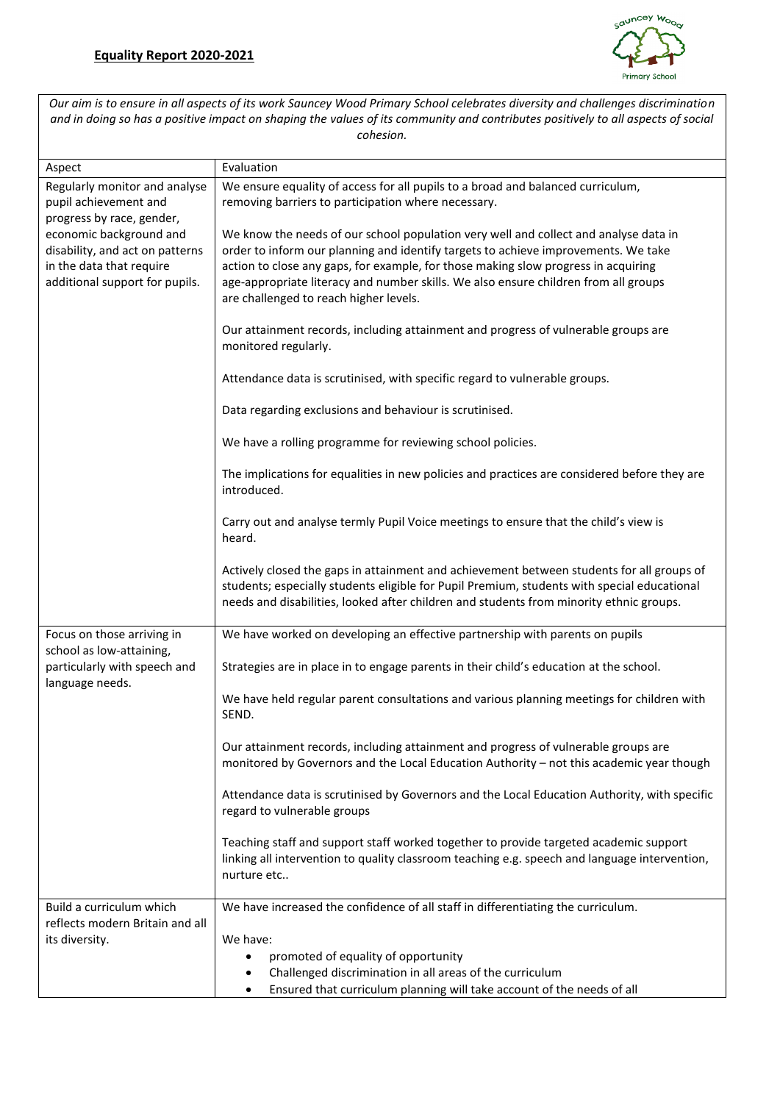

*Our aim is to ensure in all aspects of its work Sauncey Wood Primary School celebrates diversity and challenges discrimination and in doing so has a positive impact on shaping the values of its community and contributes positively to all aspects of social cohesion.*

| Aspect                                                                                                    | Evaluation                                                                                    |
|-----------------------------------------------------------------------------------------------------------|-----------------------------------------------------------------------------------------------|
| Regularly monitor and analyse                                                                             | We ensure equality of access for all pupils to a broad and balanced curriculum,               |
| pupil achievement and                                                                                     | removing barriers to participation where necessary.                                           |
| progress by race, gender,                                                                                 |                                                                                               |
| economic background and                                                                                   | We know the needs of our school population very well and collect and analyse data in          |
| disability, and act on patterns                                                                           | order to inform our planning and identify targets to achieve improvements. We take            |
| in the data that require                                                                                  | action to close any gaps, for example, for those making slow progress in acquiring            |
| additional support for pupils.                                                                            | age-appropriate literacy and number skills. We also ensure children from all groups           |
|                                                                                                           | are challenged to reach higher levels.                                                        |
|                                                                                                           |                                                                                               |
|                                                                                                           | Our attainment records, including attainment and progress of vulnerable groups are            |
|                                                                                                           | monitored regularly.                                                                          |
|                                                                                                           |                                                                                               |
|                                                                                                           | Attendance data is scrutinised, with specific regard to vulnerable groups.                    |
|                                                                                                           | Data regarding exclusions and behaviour is scrutinised.                                       |
|                                                                                                           |                                                                                               |
|                                                                                                           | We have a rolling programme for reviewing school policies.                                    |
|                                                                                                           |                                                                                               |
|                                                                                                           | The implications for equalities in new policies and practices are considered before they are  |
|                                                                                                           | introduced.                                                                                   |
|                                                                                                           |                                                                                               |
|                                                                                                           | Carry out and analyse termly Pupil Voice meetings to ensure that the child's view is          |
|                                                                                                           | heard.                                                                                        |
|                                                                                                           |                                                                                               |
|                                                                                                           | Actively closed the gaps in attainment and achievement between students for all groups of     |
|                                                                                                           | students; especially students eligible for Pupil Premium, students with special educational   |
|                                                                                                           | needs and disabilities, looked after children and students from minority ethnic groups.       |
| Focus on those arriving in<br>school as low-attaining,<br>particularly with speech and<br>language needs. | We have worked on developing an effective partnership with parents on pupils                  |
|                                                                                                           |                                                                                               |
|                                                                                                           | Strategies are in place in to engage parents in their child's education at the school.        |
|                                                                                                           |                                                                                               |
|                                                                                                           | We have held regular parent consultations and various planning meetings for children with     |
|                                                                                                           | SEND.                                                                                         |
|                                                                                                           |                                                                                               |
|                                                                                                           | Our attainment records, including attainment and progress of vulnerable groups are            |
|                                                                                                           | monitored by Governors and the Local Education Authority - not this academic year though      |
|                                                                                                           | Attendance data is scrutinised by Governors and the Local Education Authority, with specific  |
|                                                                                                           | regard to vulnerable groups                                                                   |
|                                                                                                           |                                                                                               |
|                                                                                                           | Teaching staff and support staff worked together to provide targeted academic support         |
|                                                                                                           | linking all intervention to quality classroom teaching e.g. speech and language intervention, |
|                                                                                                           | nurture etc                                                                                   |
|                                                                                                           |                                                                                               |
| Build a curriculum which                                                                                  | We have increased the confidence of all staff in differentiating the curriculum.              |
| reflects modern Britain and all                                                                           |                                                                                               |
| its diversity.                                                                                            | We have:                                                                                      |
|                                                                                                           | promoted of equality of opportunity                                                           |
|                                                                                                           | Challenged discrimination in all areas of the curriculum                                      |
|                                                                                                           | Ensured that curriculum planning will take account of the needs of all<br>$\bullet$           |